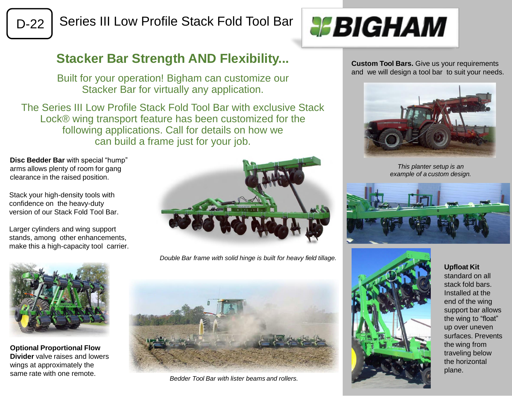

D-22 | Series III Low Profile Stack Fold Tool Bar



## **Stacker Bar Strength AND Flexibility...**

Built for your operation! Bigham can customize our Stacker Bar for virtually any application.

The Series III Low Profile Stack Fold Tool Bar with exclusive Stack Lock® wing transport feature has been customized for the following applications. Call for details on how we can build a frame just for your job.

**Disc Bedder Bar** with special "hump" arms allows plenty of room for gang clearance in the raised position.

Stack your high-density tools with confidence on the heavy-duty version of our Stack Fold Tool Bar.

Larger cylinders and wing support stands, among other enhancements, make this a high-capacity tool carrier.



*Double Bar frame with solid hinge is built for heavy field tillage.*



**Optional Proportional Flow Divider** valve raises and lowers wings at approximately the same rate with one remote.



*Bedder Tool Bar with lister beams and rollers.*

**Custom Tool Bars.** Give us your requirements and we will design a tool bar to suit your needs.



*This planter setup is an example of a custom design.*





**Upfloat Kit** standard on all stack fold bars. Installed at the end of the wing support bar allows the wing to "float" up over uneven surfaces. Prevents the wing from traveling below the horizontal plane.